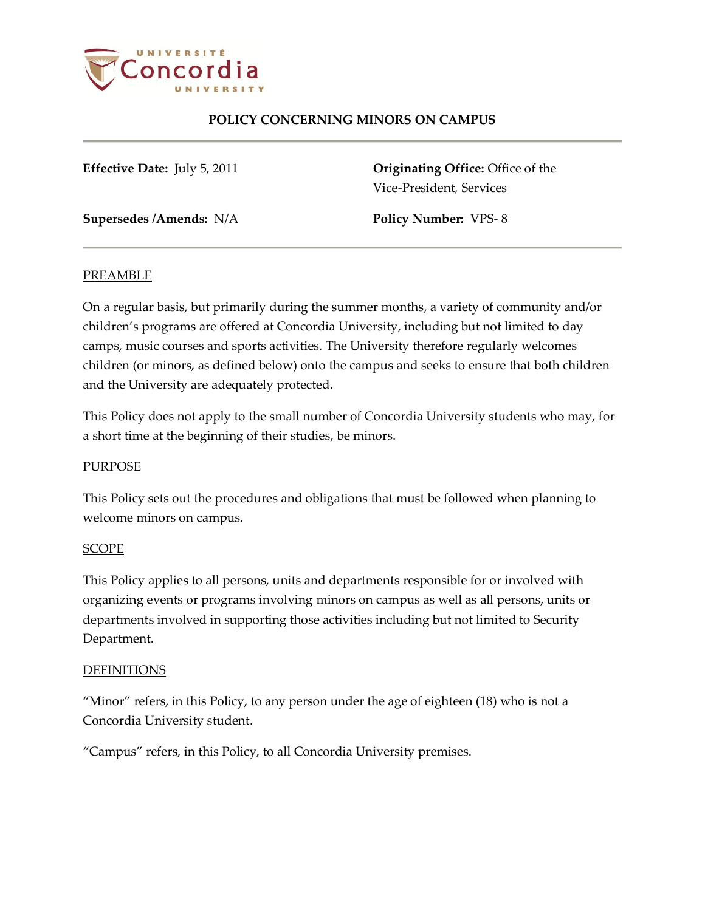

## **POLICY CONCERNING MINORS ON CAMPUS**

**Effective Date:** July 5, 2011 **Originating Office:** Office of the Vice-President, Services

**Supersedes /Amends:** N/A **Policy Number:** VPS- 8

### PREAMBLE

On a regular basis, but primarily during the summer months, a variety of community and/or children's programs are offered at Concordia University, including but not limited to day camps, music courses and sports activities. The University therefore regularly welcomes children (or minors, as defined below) onto the campus and seeks to ensure that both children and the University are adequately protected.

This Policy does not apply to the small number of Concordia University students who may, for a short time at the beginning of their studies, be minors.

### **PURPOSE**

This Policy sets out the procedures and obligations that must be followed when planning to welcome minors on campus.

### SCOPE

This Policy applies to all persons, units and departments responsible for or involved with organizing events or programs involving minors on campus as well as all persons, units or departments involved in supporting those activities including but not limited to Security Department.

### DEFINITIONS

"Minor" refers, in this Policy, to any person under the age of eighteen (18) who is not a Concordia University student.

"Campus" refers, in this Policy, to all Concordia University premises.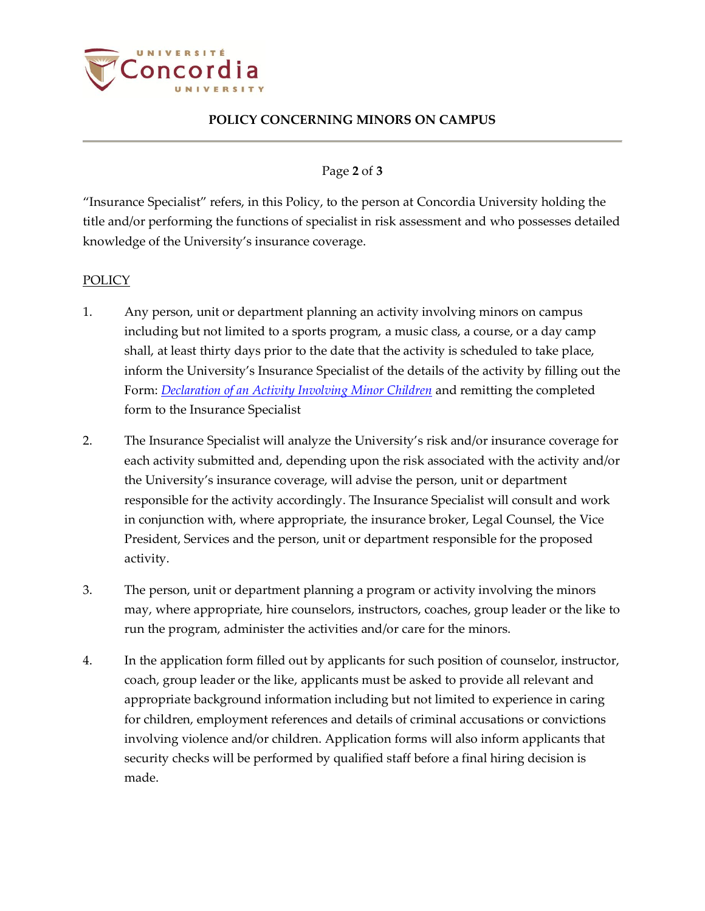

# **POLICY CONCERNING MINORS ON CAMPUS**

### Page **2** of **3**

"Insurance Specialist" refers, in this Policy, to the person at Concordia University holding the title and/or performing the functions of specialist in risk assessment and who possesses detailed knowledge of the University's insurance coverage.

#### POLICY

- 1. Any person, unit or department planning an activity involving minors on campus including but not limited to a sports program, a music class, a course, or a day camp shall, at least thirty days prior to the date that the activity is scheduled to take place, inform the University's Insurance Specialist of the details of the activity by filling out the Form: *[Declaration of an Activity Involving Minor Children](http://www.concordia.ca/vpirsg/documents/policies/VPS-8_declaration.pdf)* and remitting the completed form to the Insurance Specialist
- 2. The Insurance Specialist will analyze the University's risk and/or insurance coverage for each activity submitted and, depending upon the risk associated with the activity and/or the University's insurance coverage, will advise the person, unit or department responsible for the activity accordingly. The Insurance Specialist will consult and work in conjunction with, where appropriate, the insurance broker, Legal Counsel, the Vice President, Services and the person, unit or department responsible for the proposed activity.
- 3. The person, unit or department planning a program or activity involving the minors may, where appropriate, hire counselors, instructors, coaches, group leader or the like to run the program, administer the activities and/or care for the minors.
- 4. In the application form filled out by applicants for such position of counselor, instructor, coach, group leader or the like, applicants must be asked to provide all relevant and appropriate background information including but not limited to experience in caring for children, employment references and details of criminal accusations or convictions involving violence and/or children. Application forms will also inform applicants that security checks will be performed by qualified staff before a final hiring decision is made.